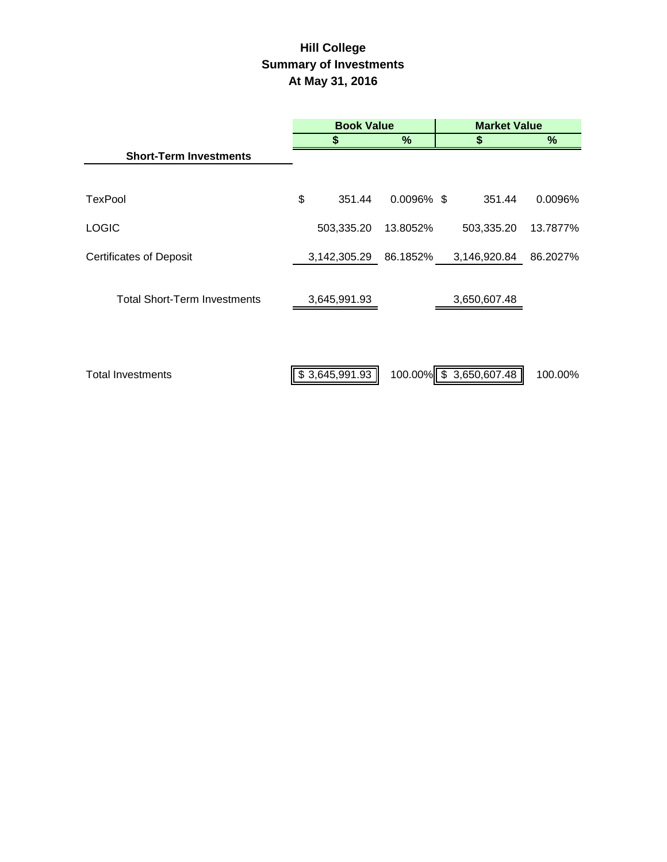# **Hill College Summary of Investments At May 31, 2016**

|                                     | <b>Book Value</b> |                |               | <b>Market Value</b> |                         |            |
|-------------------------------------|-------------------|----------------|---------------|---------------------|-------------------------|------------|
|                                     |                   |                | %             |                     | \$                      | %          |
| <b>Short-Term Investments</b>       |                   |                |               |                     |                         |            |
| TexPool                             | \$                | 351.44         | $0.0096\%$ \$ |                     | 351.44                  | $0.0096\%$ |
| <b>LOGIC</b>                        |                   | 503,335.20     | 13.8052%      |                     | 503,335.20              | 13.7877%   |
| <b>Certificates of Deposit</b>      |                   | 3,142,305.29   | 86.1852%      |                     | 3,146,920.84            | 86.2027%   |
| <b>Total Short-Term Investments</b> |                   | 3,645,991.93   |               |                     | 3,650,607.48            |            |
| <b>Total Investments</b>            |                   | \$3,645,991.93 |               |                     | 100.00% \$ 3,650,607.48 | 100.00%    |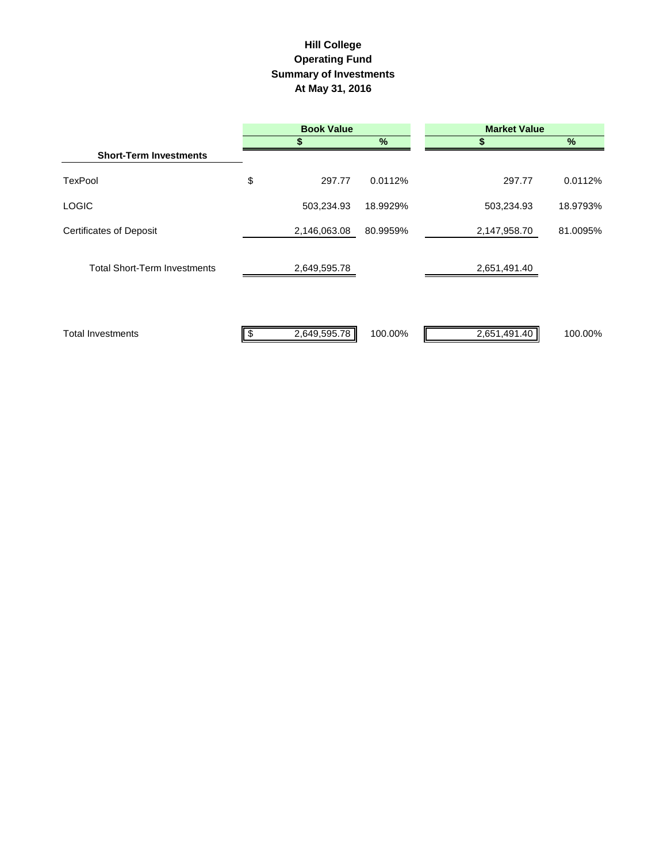## **Hill College Operating Fund Summary of Investments At May 31, 2016**

|                                     | <b>Book Value</b> |              | <b>Market Value</b> |              |          |
|-------------------------------------|-------------------|--------------|---------------------|--------------|----------|
|                                     |                   |              | %                   | S            | $\%$     |
| <b>Short-Term Investments</b>       |                   |              |                     |              |          |
| TexPool                             | \$                | 297.77       | 0.0112%             | 297.77       | 0.0112%  |
| <b>LOGIC</b>                        |                   | 503,234.93   | 18.9929%            | 503,234.93   | 18.9793% |
| <b>Certificates of Deposit</b>      |                   | 2,146,063.08 | 80.9959%            | 2,147,958.70 | 81.0095% |
| <b>Total Short-Term Investments</b> |                   | 2,649,595.78 |                     | 2,651,491.40 |          |
| <b>Total Investments</b>            |                   | 2,649,595.78 | 100.00%             | 2,651,491.40 | 100.00%  |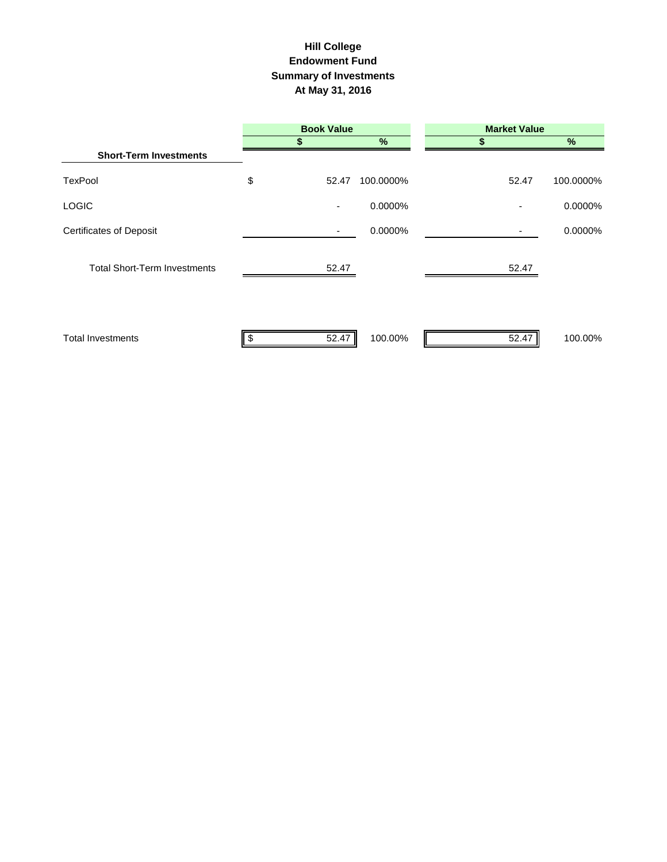#### **Summary of Investments At May 31, 2016 Endowment Fund Hill College**

|                                     | <b>Book Value</b> |           | <b>Market Value</b> |           |
|-------------------------------------|-------------------|-----------|---------------------|-----------|
|                                     |                   | %         |                     | %         |
| <b>Short-Term Investments</b>       |                   |           |                     |           |
| TexPool                             | \$<br>52.47       | 100.0000% | 52.47               | 100.0000% |
| <b>LOGIC</b>                        | ٠                 | 0.0000%   | ٠                   | 0.0000%   |
| <b>Certificates of Deposit</b>      | ٠                 | 0.0000%   |                     | 0.0000%   |
| <b>Total Short-Term Investments</b> | 52.47             |           | 52.47               |           |
| <b>Total Investments</b>            | 52.47<br>\$       | 100.00%   | 52.47               | 100.00%   |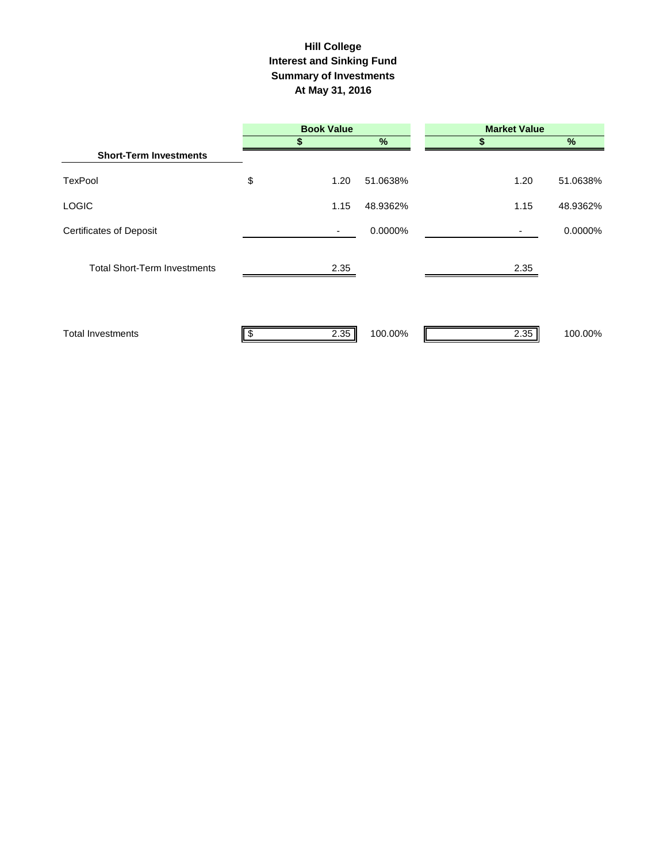#### **Hill College Interest and Sinking Fund Summary of Investments At May 31, 2016**

|                                     | <b>Book Value</b>        |          | <b>Market Value</b> |          |  |
|-------------------------------------|--------------------------|----------|---------------------|----------|--|
|                                     |                          | $\%$     |                     | $\%$     |  |
| <b>Short-Term Investments</b>       |                          |          |                     |          |  |
| <b>TexPool</b>                      | \$<br>1.20               | 51.0638% | 1.20                | 51.0638% |  |
| <b>LOGIC</b>                        | 1.15                     | 48.9362% | 1.15                | 48.9362% |  |
| <b>Certificates of Deposit</b>      | $\overline{\phantom{a}}$ | 0.0000%  |                     | 0.0000%  |  |
| <b>Total Short-Term Investments</b> | 2.35                     |          | 2.35                |          |  |
| <b>Total Investments</b>            | 2.35                     | 100.00%  | 2.35                | 100.00%  |  |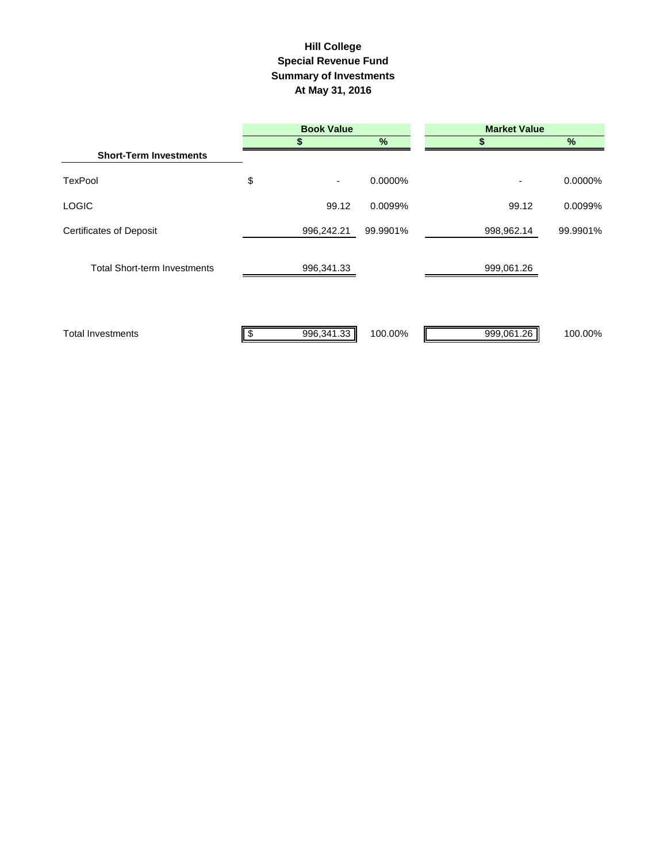## **Hill College Special Revenue Fund Summary of Investments At May 31, 2016**

|                                     | <b>Book Value</b> |          | <b>Market Value</b> |          |
|-------------------------------------|-------------------|----------|---------------------|----------|
|                                     |                   | %        |                     | %        |
| <b>Short-Term Investments</b>       |                   |          |                     |          |
| <b>TexPool</b>                      | \$<br>۰           | 0.0000%  | ٠                   | 0.0000%  |
| <b>LOGIC</b>                        | 99.12             | 0.0099%  | 99.12               | 0.0099%  |
| <b>Certificates of Deposit</b>      | 996,242.21        | 99.9901% | 998,962.14          | 99.9901% |
| <b>Total Short-term Investments</b> | 996,341.33        |          | 999,061.26          |          |
| <b>Total Investments</b>            | 996,341.33        | 100.00%  | 999,061.26          | 100.00%  |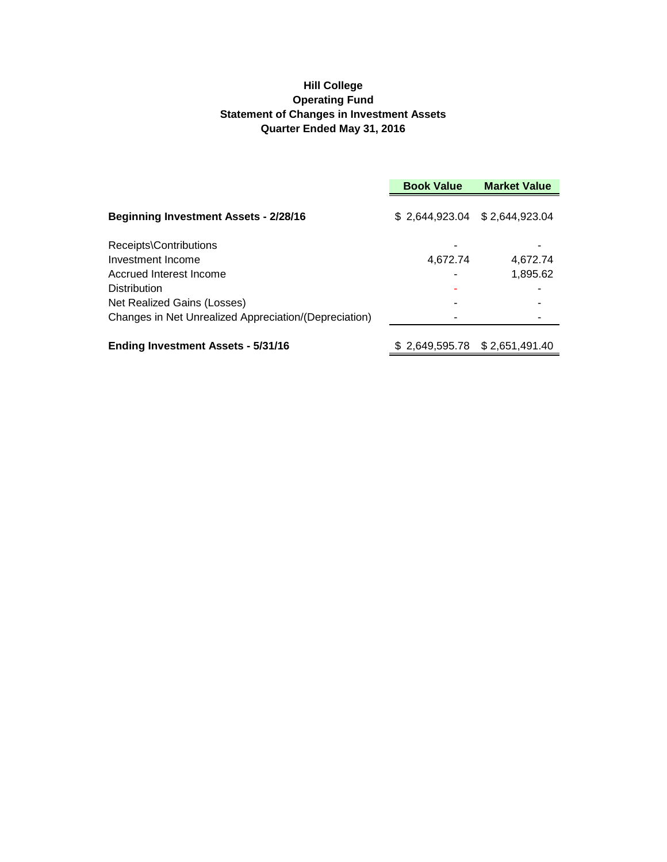## **Hill College Operating Fund Statement of Changes in Investment Assets Quarter Ended May 31, 2016**

|                                                       | <b>Book Value</b>               | <b>Market Value</b> |
|-------------------------------------------------------|---------------------------------|---------------------|
| <b>Beginning Investment Assets - 2/28/16</b>          | \$ 2,644,923.04 \$ 2,644,923.04 |                     |
| Receipts\Contributions                                |                                 |                     |
| Investment Income                                     | 4,672.74                        | 4,672.74            |
| Accrued Interest Income                               |                                 | 1,895.62            |
| <b>Distribution</b>                                   |                                 |                     |
| Net Realized Gains (Losses)                           |                                 |                     |
| Changes in Net Unrealized Appreciation/(Depreciation) |                                 |                     |
| <b>Ending Investment Assets - 5/31/16</b>             | \$2,649,595.78 \$2,651,491.40   |                     |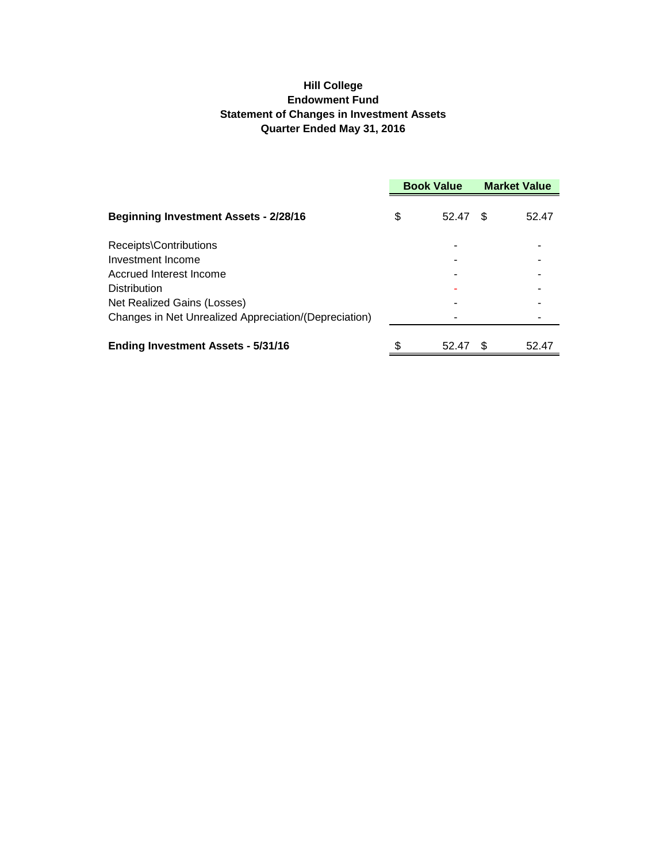## **Hill College Endowment Fund Statement of Changes in Investment Assets Quarter Ended May 31, 2016**

|                                                       | <b>Book Value</b> |       | <b>Market Value</b> |       |
|-------------------------------------------------------|-------------------|-------|---------------------|-------|
| <b>Beginning Investment Assets - 2/28/16</b>          | S                 | 52.47 | \$.                 | 52.47 |
| Receipts\Contributions                                |                   |       |                     |       |
| Investment Income                                     |                   |       |                     |       |
| Accrued Interest Income                               |                   |       |                     |       |
| Distribution                                          |                   |       |                     |       |
| Net Realized Gains (Losses)                           |                   |       |                     |       |
| Changes in Net Unrealized Appreciation/(Depreciation) |                   |       |                     |       |
| <b>Ending Investment Assets - 5/31/16</b>             | \$                | 52.47 | \$.                 | 52.47 |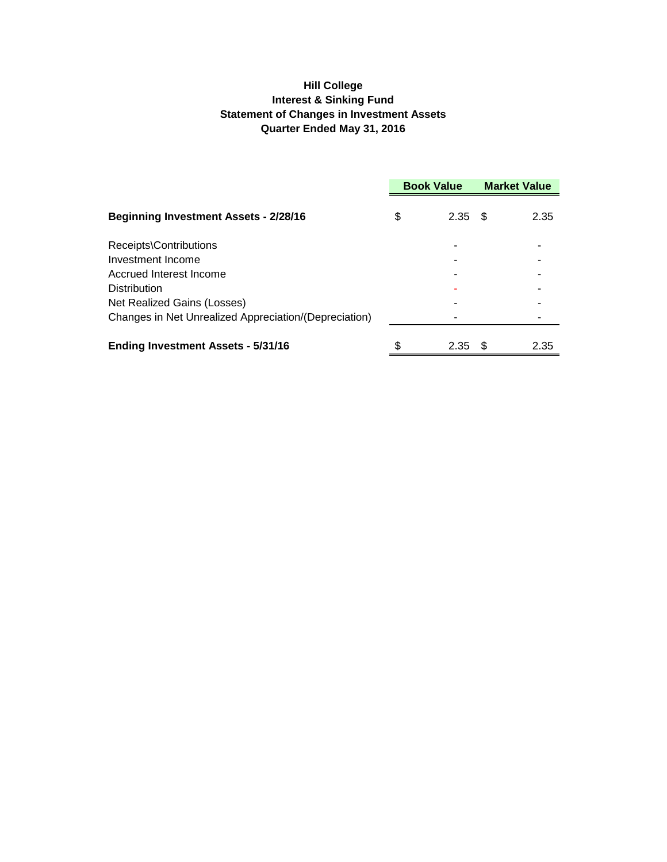## **Hill College Interest & Sinking Fund Statement of Changes in Investment Assets Quarter Ended May 31, 2016**

|                                                       | <b>Book Value</b> |      | <b>Market Value</b> |      |
|-------------------------------------------------------|-------------------|------|---------------------|------|
| <b>Beginning Investment Assets - 2/28/16</b>          | \$                | 2.35 | - \$                | 2.35 |
| Receipts\Contributions                                |                   |      |                     |      |
| Investment Income                                     |                   |      |                     |      |
| Accrued Interest Income                               |                   |      |                     |      |
| <b>Distribution</b>                                   |                   |      |                     |      |
| Net Realized Gains (Losses)                           |                   |      |                     |      |
| Changes in Net Unrealized Appreciation/(Depreciation) |                   |      |                     |      |
| <b>Ending Investment Assets - 5/31/16</b>             | \$                | 2.35 | -S                  | 2.35 |